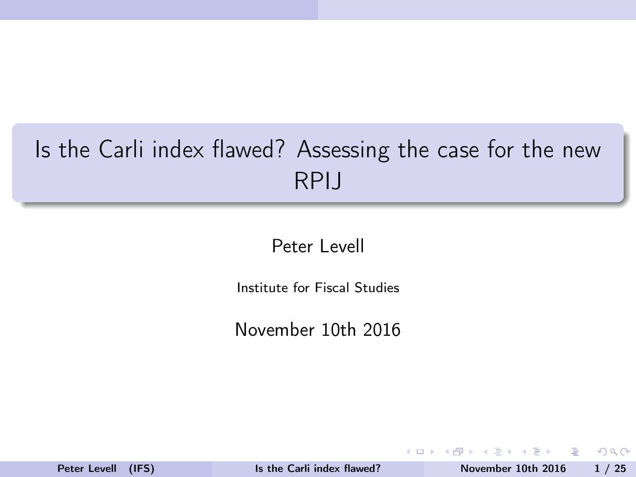# <span id="page-0-0"></span>Is the Carli index flawed? Assessing the case for the new RPIJ

Peter Levell

Institute for Fiscal Studies

November 10th 2016

 $\leftarrow$   $\Box$ 

 $200$ 

э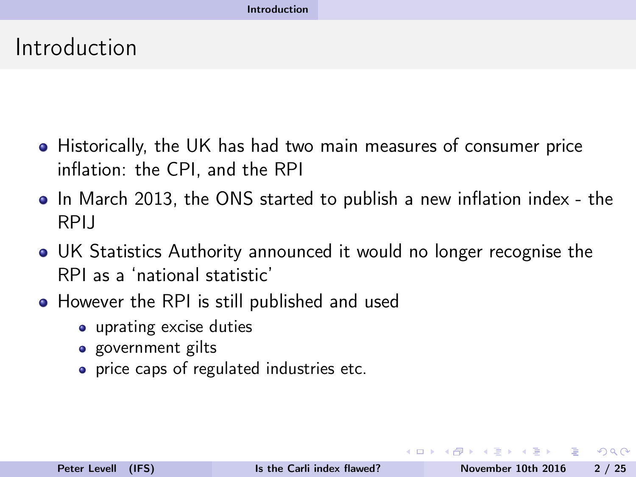#### <span id="page-1-0"></span>Introduction

- Historically, the UK has had two main measures of consumer price inflation: the CPI, and the RPI
- In March 2013, the ONS started to publish a new inflation index the RPIJ
- UK Statistics Authority announced it would no longer recognise the RPI as a 'national statistic'
- However the RPI is still published and used
	- uprating excise duties
	- government gilts
	- price caps of regulated industries etc.

 $\Omega$ 

 $\mathbf{y} = \mathbf{z}$  . The  $\mathbf{y}$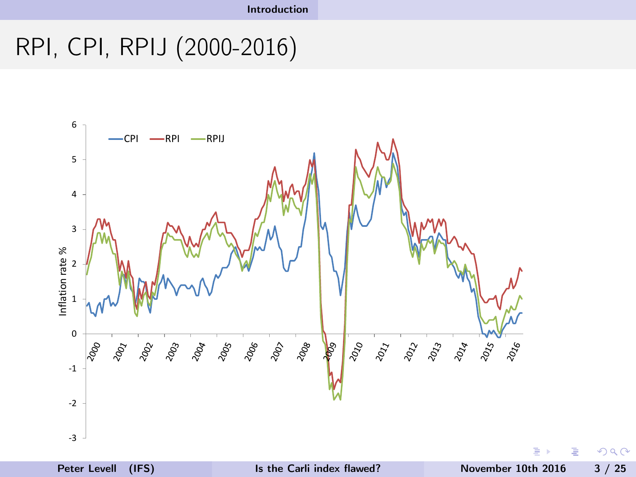# <span id="page-2-0"></span>RPI, CPI, RPIJ (2000-2016)



 $QQ$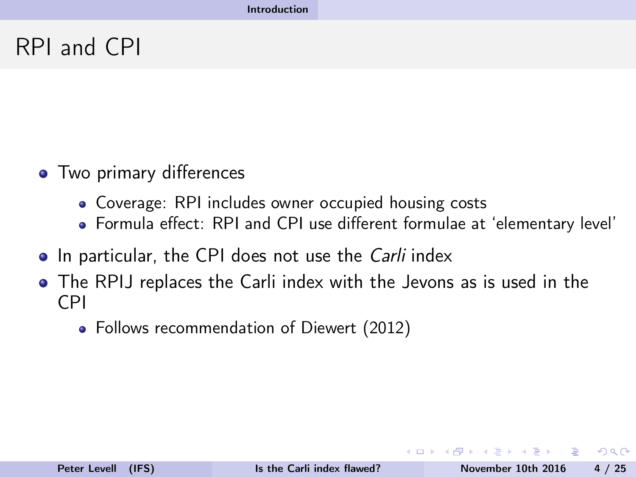### <span id="page-3-0"></span>RPI and CPI

- Two primary differences
	- Coverage: RPI includes owner occupied housing costs
	- Formula effect: RPI and CPI use different formulae at 'elementary level'
- In particular, the CPI does not use the *Carli* index
- The RPIJ replaces the Carli index with the Jevons as is used in the CPI
	- Follows recommendation of Diewert (2012)

 $QQ$ 

 $\mathbf{A}=\mathbf{A}$  . The  $\mathbf{A}$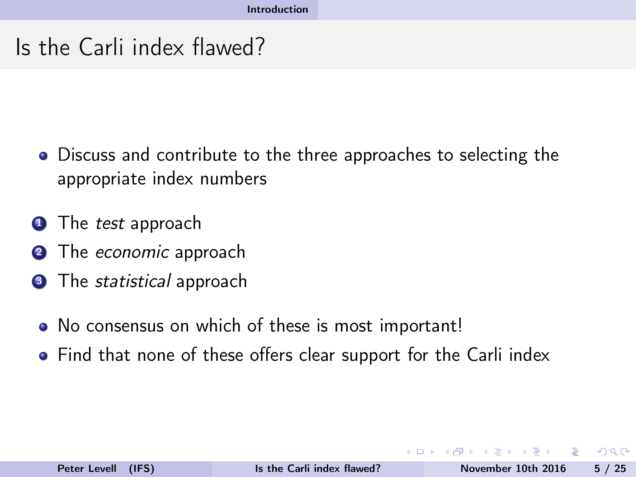# <span id="page-4-0"></span>Is the Carli index flawed?

- Discuss and contribute to the three approaches to selecting the appropriate index numbers
- **1** The *test* approach
- **2** The *economic* approach
- **3** The *statistical* approach
	- No consensus on which of these is most important!
	- Find that none of these offers clear support for the Carli index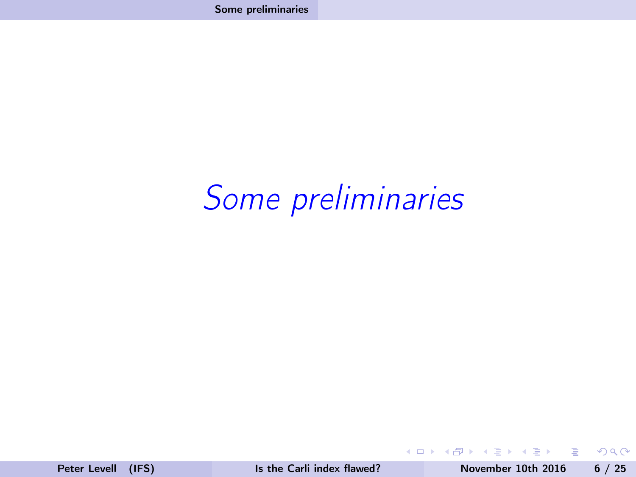# <span id="page-5-0"></span>Some preliminaries

×  $\mathcal{A}$  .

**◆ ロ ▶ → 伊** 

 $\Rightarrow$ 

 $2Q$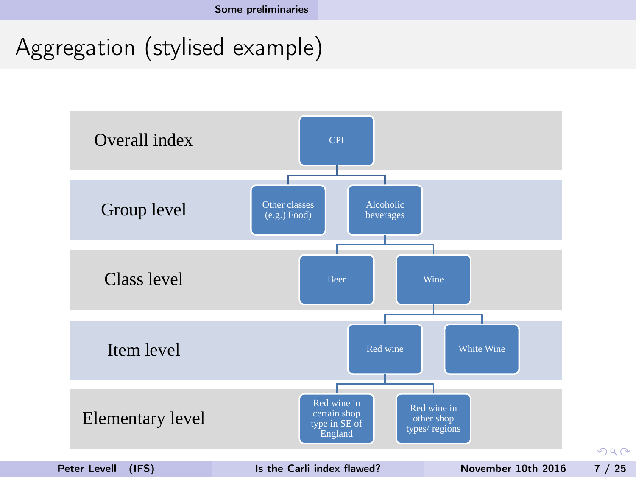<span id="page-6-0"></span>Aggregation (stylised example)

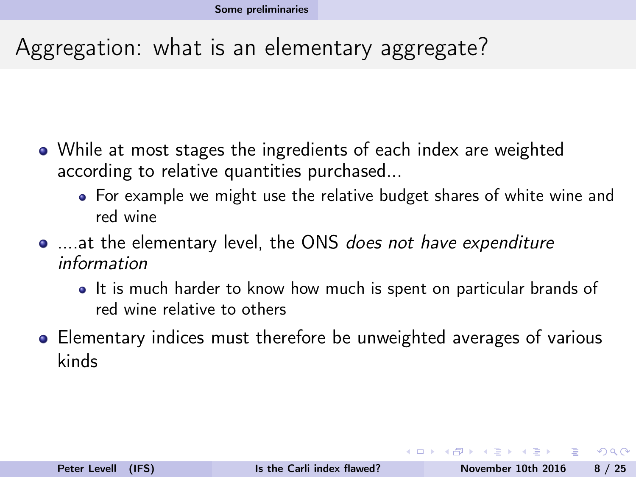### <span id="page-7-0"></span>Aggregation: what is an elementary aggregate?

- While at most stages the ingredients of each index are weighted according to relative quantities purchased...
	- For example we might use the relative budget shares of white wine and red wine
- ....at the elementary level, the ONS does not have expenditure information
	- It is much harder to know how much is spent on particular brands of red wine relative to others
- Elementary indices must therefore be unweighted averages of various kinds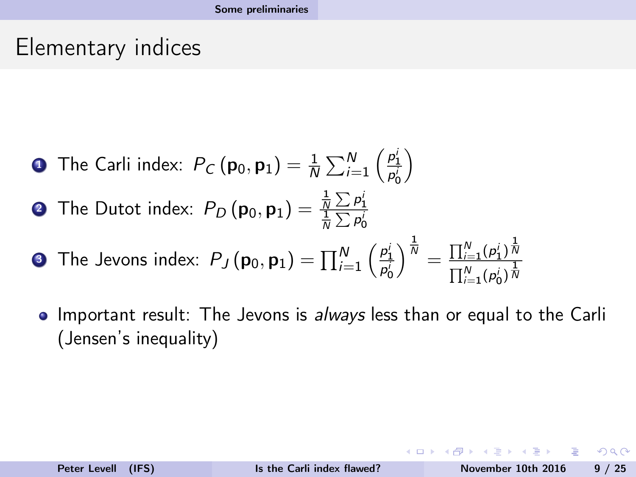#### <span id="page-8-0"></span>Elementary indices

- **D** The Carli index:  $P_C(\mathbf{p}_0, \mathbf{p}_1) = \frac{1}{N} \sum_{i=1}^N \left( \frac{p_1^i}{p_0^i} \right)$  $\setminus$
- **2** The Dutot index:  $P_D\left(\mathbf{p}_0, \mathbf{p}_1\right) = \frac{\frac{1}{N}\sum p_1^i}{\frac{1}{N}\sum p_0^i}$
- **3** The Jevons index:  $P_J(\mathbf{p}_0, \mathbf{p}_1) = \prod_{i=1}^N \left(\frac{p_1^i}{p_0^i}\right)$  $\bigg)^{\frac{1}{N}}=\frac{\prod_{i=1}^{N}(\rho_{1}^{i})^{\frac{1}{N}}}{\frac{1}{N}N}$  $\prod_{i=1}^N (p_0^i)^{\frac{1}{N}}$  $i=1$ 0
- Important result: The Jevons is always less than or equal to the Carli  $\bullet$ (Jensen's inequality)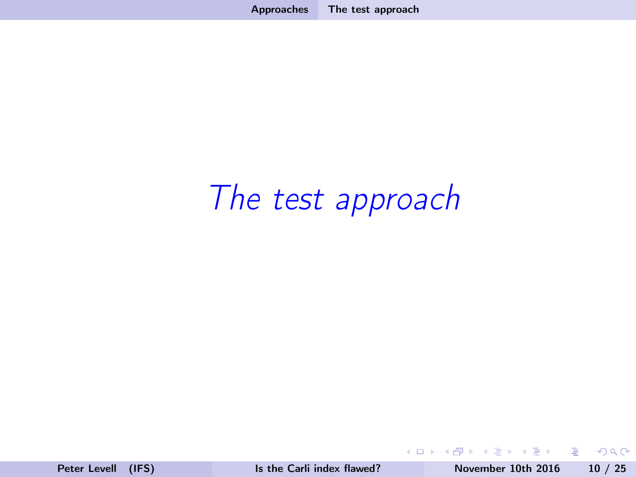# <span id="page-9-0"></span>The test approach

**B** 

4 0 8 4

B

 $2Q$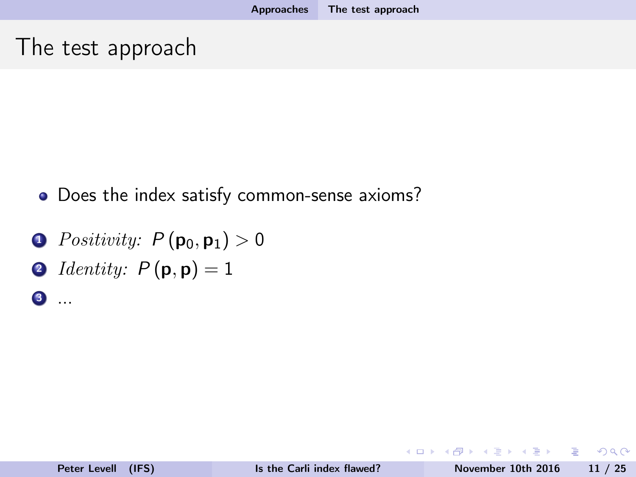#### <span id="page-10-0"></span>The test approach

- Does the index satisfy common-sense axioms?
- **1** Positivity:  $P(\mathbf{p}_0, \mathbf{p}_1) > 0$
- $\textbf{0}$  Identity:  $P(\textbf{p}, \textbf{p}) = 1$
- <sup>3</sup> ...

∢⊓ ⊧⊸∢#P

 $2Q$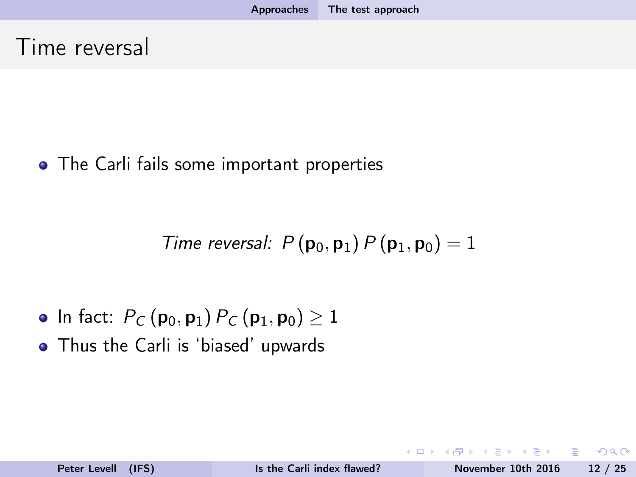<span id="page-11-0"></span>• The Carli fails some important properties

Time reversal:  $P(p_0, p_1) P(p_1, p_0) = 1$ 

- In fact:  $P_C(p_0, p_1) P_C(p_1, p_0) \ge 1$
- Thus the Carli is 'biased' upwards

 $\Omega$ 

 $-1$   $-1$   $-1$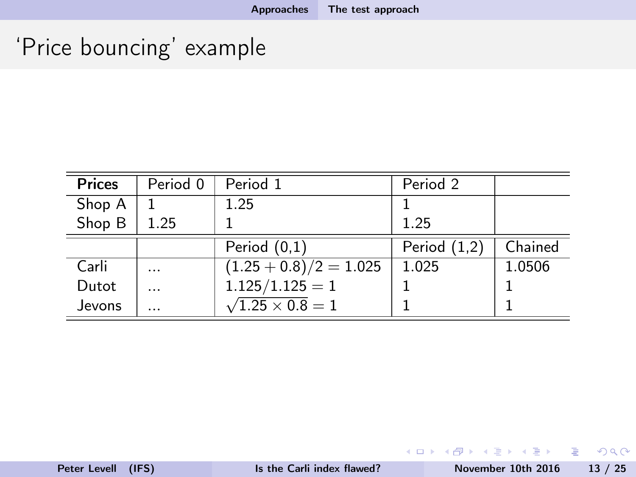# <span id="page-12-0"></span>'Price bouncing' example

| <b>Prices</b> | Period 0 | Period 1                     | Period 2       |         |
|---------------|----------|------------------------------|----------------|---------|
| Shop A        |          | 1.25                         |                |         |
| Shop B        | 1.25     |                              | 1.25           |         |
|               |          | Period $(0,1)$               | Period $(1,2)$ | Chained |
| Carli         | .        | $(1.25 + 0.8)/2 = 1.025$     | 1.025          | 1.0506  |
| Dutot         | .        | $1.125/1.125=1$              |                |         |
| Jevons        | .        | $\sqrt{1.25 \times 0.8} = 1$ |                |         |

《 ロ 》 《 御 》 《 重 》 《 重 》 《 重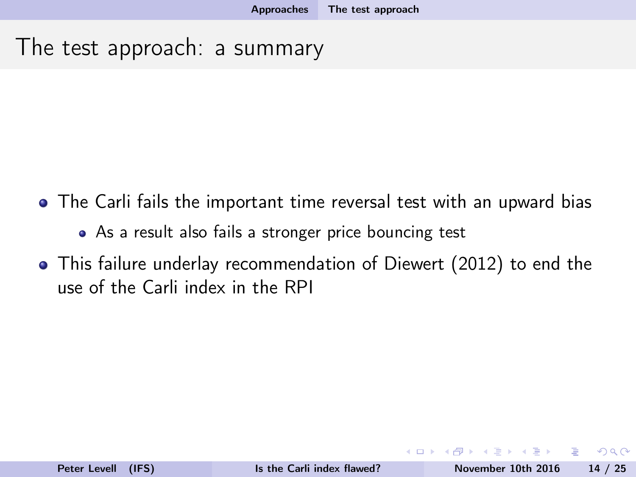#### <span id="page-13-0"></span>The test approach: a summary

- The Carli fails the important time reversal test with an upward bias
	- As a result also fails a stronger price bouncing test
- This failure underlay recommendation of Diewert (2012) to end the use of the Carli index in the RPI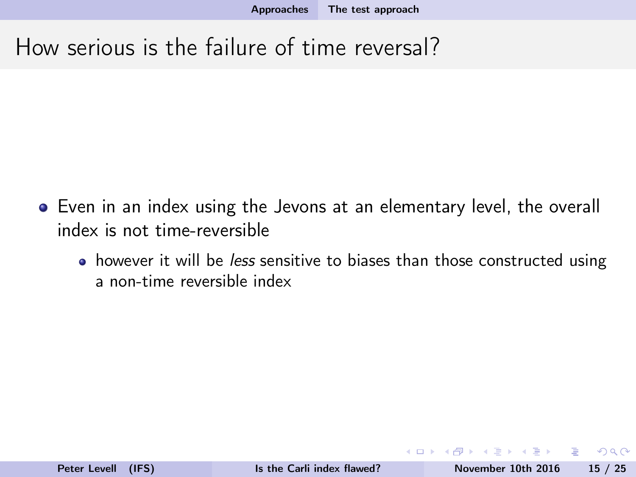<span id="page-14-0"></span>How serious is the failure of time reversal?

- Even in an index using the Jevons at an elementary level, the overall index is not time-reversible
	- however it will be *less* sensitive to biases than those constructed using a non-time reversible index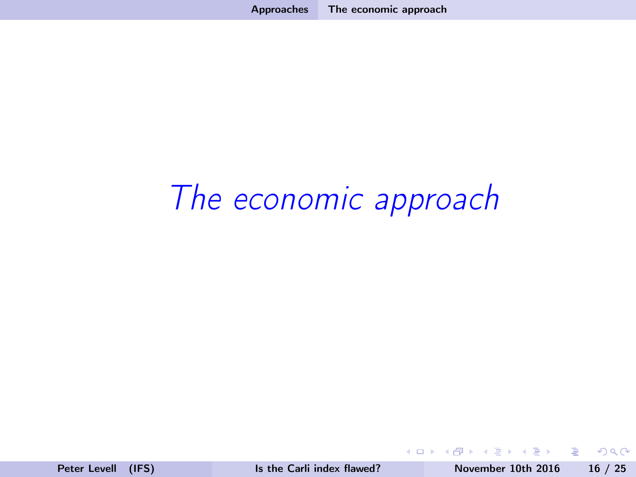# <span id="page-15-0"></span>The economic approach

4 17 18

**B** 

B

 $2Q$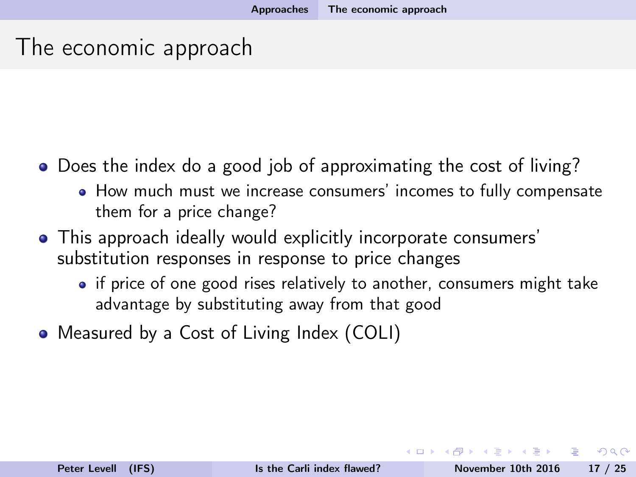#### <span id="page-16-0"></span>The economic approach

- Does the index do a good job of approximating the cost of living?
	- How much must we increase consumers' incomes to fully compensate them for a price change?
- This approach ideally would explicitly incorporate consumers' substitution responses in response to price changes
	- if price of one good rises relatively to another, consumers might take advantage by substituting away from that good
- Measured by a Cost of Living Index (COLI)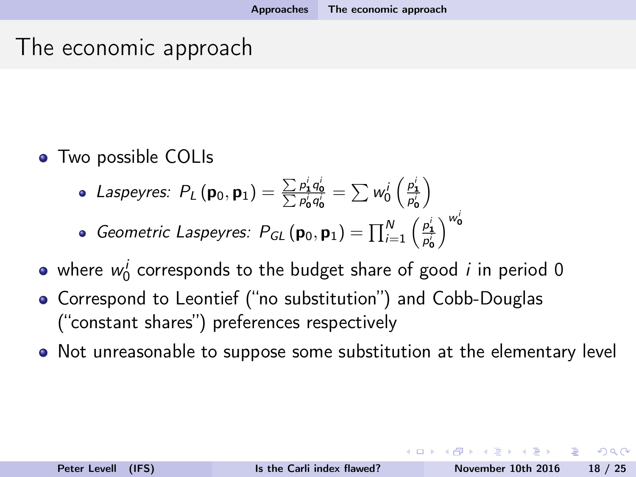### <span id="page-17-0"></span>The economic approach

#### • Two possible COLIs

Laspeyres:  $P_L(\mathbf{p}_0, \mathbf{p}_1) = \frac{\sum p_1^i q_0^i}{\sum p_0^i q_0^i} = \sum w_0^i \left(\frac{p_1^i}{p_0^i}\right)$  $\setminus$ 

• Geometric Laspeyres: 
$$
P_{GL}(\mathbf{p}_0, \mathbf{p}_1) = \prod_{i=1}^{N} \left(\frac{p_i^i}{p_0^i}\right)^{w_0^i}
$$

- where  $w_0^i$  corresponds to the budget share of good  $i$  in period 0
- Correspond to Leontief ("no substitution") and Cobb-Douglas ("constant shares") preferences respectively
- Not unreasonable to suppose some substitution at the elementary level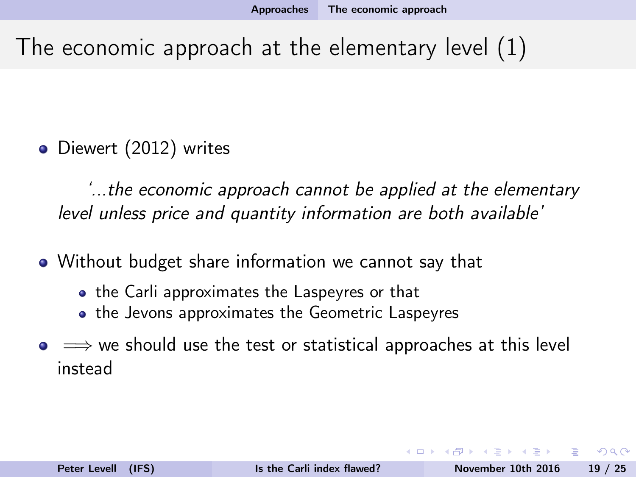# <span id="page-18-0"></span>The economic approach at the elementary level (1)

• Diewert (2012) writes

'...the economic approach cannot be applied at the elementary level unless price and quantity information are both available'

• Without budget share information we cannot say that

- the Carli approximates the Laspeyres or that
- the Jevons approximates the Geometric Laspeyres
- $\bullet \Rightarrow$  we should use the test or statistical approaches at this level instead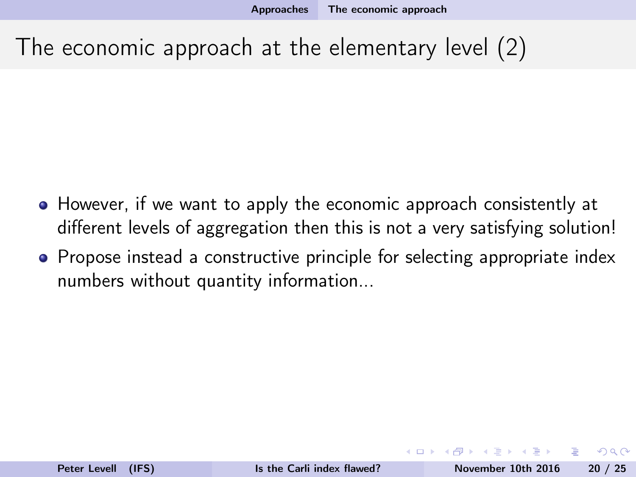# <span id="page-19-0"></span>The economic approach at the elementary level (2)

- However, if we want to apply the economic approach consistently at different levels of aggregation then this is not a very satisfying solution!
- Propose instead a constructive principle for selecting appropriate index numbers without quantity information...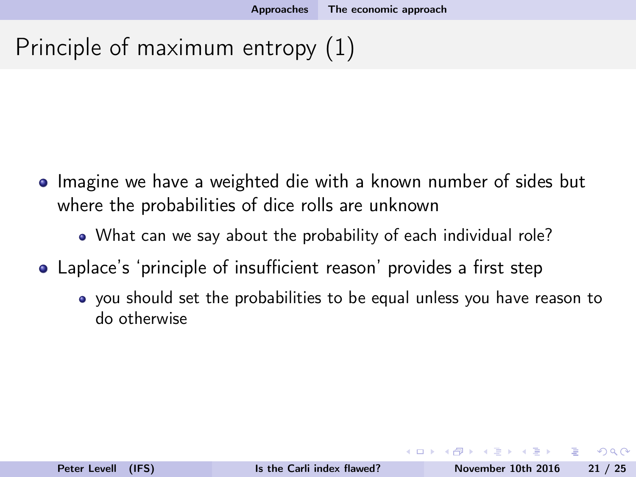# <span id="page-20-0"></span>Principle of maximum entropy (1)

- Imagine we have a weighted die with a known number of sides but where the probabilities of dice rolls are unknown
	- What can we say about the probability of each individual role?
- Laplace's 'principle of insufficient reason' provides a first step
	- you should set the probabilities to be equal unless you have reason to do otherwise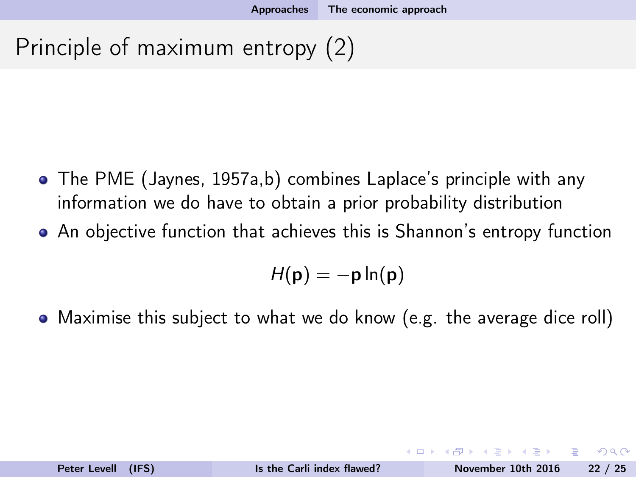# <span id="page-21-0"></span>Principle of maximum entropy (2)

- The PME (Jaynes, 1957a,b) combines Laplace's principle with any information we do have to obtain a prior probability distribution
- An objective function that achieves this is Shannon's entropy function

$$
H(\mathbf{p}) = -\mathbf{p} \ln(\mathbf{p})
$$

Maximise this subject to what we do know (e.g. the average dice roll)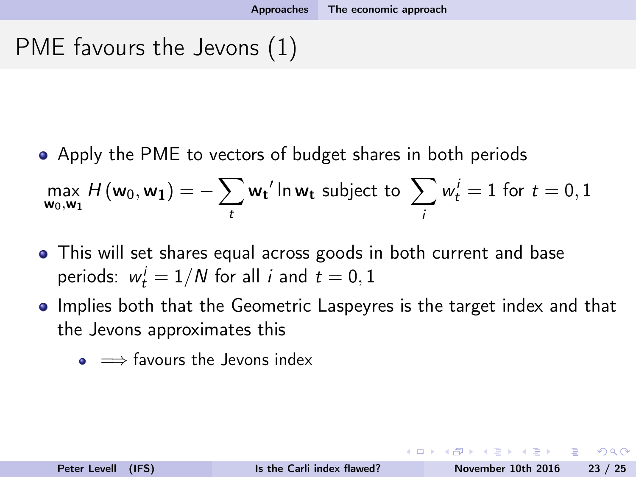# <span id="page-22-0"></span>PME favours the Jevons (1)

Apply the PME to vectors of budget shares in both periods

$$
\max_{\mathbf{w}_0,\mathbf{w}_1} H(\mathbf{w}_0,\mathbf{w}_1) = -\sum_t \mathbf{w_t}' \ln \mathbf{w_t}
$$
 subject to  $\sum_i w_t^i = 1$  for  $t = 0, 1$ 

- This will set shares equal across goods in both current and base periods:  $w_t^i = 1/N$  for all *i* and  $t = 0, 1$
- Implies both that the Geometric Laspeyres is the target index and that the Jevons approximates this
	- $\bullet \implies$  favours the Jevons index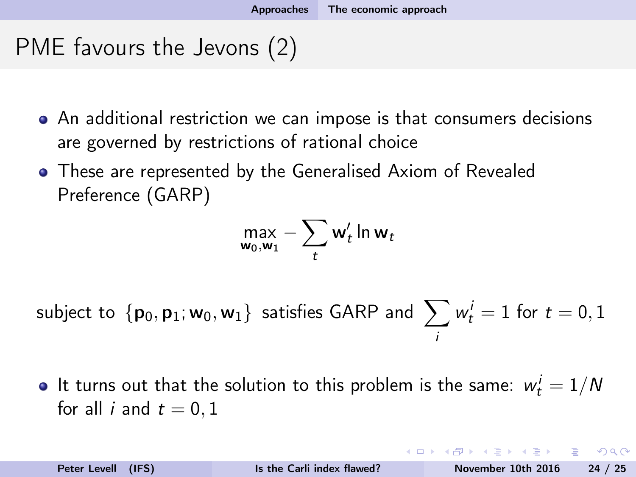# <span id="page-23-0"></span>PME favours the Jevons (2)

- An additional restriction we can impose is that consumers decisions are governed by restrictions of rational choice
- These are represented by the Generalised Axiom of Revealed Preference (GARP)

$$
\max_{\mathbf{w}_0,\mathbf{w}_1} - \sum_t \mathbf{w}'_t \ln \mathbf{w}_t
$$

subject to  $\,\{\mathsf p_0,\mathsf p_1; \mathsf w_0,\mathsf w_1\}\,$  satisfies GARP and  $\,\sum\limits_{}^{}w_t^i=1$  for  $t=0,1$ i

It turns out that the solution to this problem is the same:  $w^i_t = 1/N$ for all *i* and  $t = 0, 1$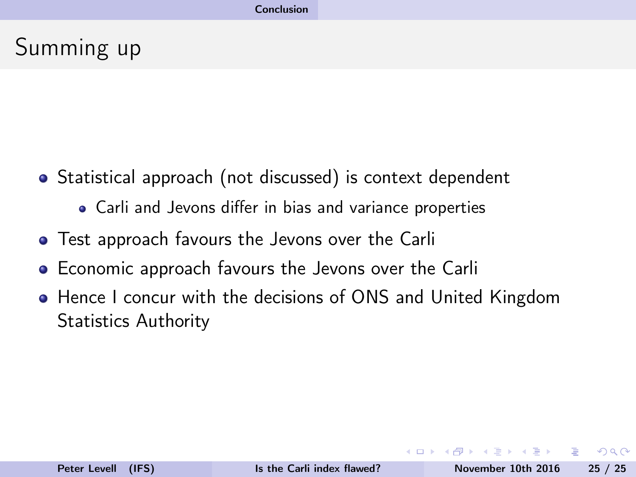# <span id="page-24-0"></span>Summing up

- Statistical approach (not discussed) is context dependent
	- Carli and Jevons differ in bias and variance properties
- Test approach favours the Jevons over the Carli
- Economic approach favours the Jevons over the Carli
- Hence I concur with the decisions of ONS and United Kingdom Statistics Authority